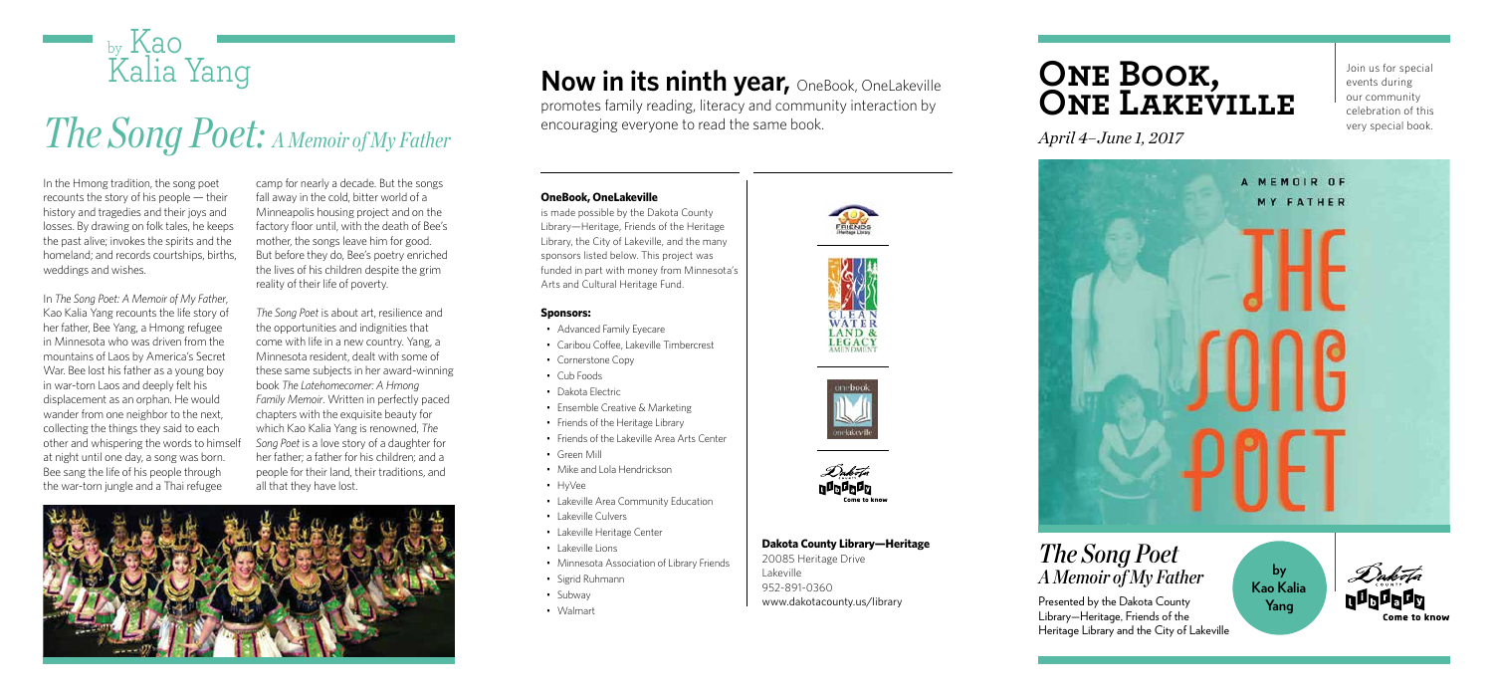### **OneBook, OneLakeville**

is made possible by the Dakota County Library—Heritage, Friends of the Heritage Library, the City of Lakeville, and the many sponsors listed below. This project was funded in part with money from Minnesota's Arts and Cultural Heritage Fund.

### **Dakota County Library—Heritage**

20085 Heritage Drive Lakeville 952-891-0360 www.dakotacounty.us/library

### **Sponsors:**

- Advanced Family Eyecare
- Caribou Coffee, Lakeville Timbercrest
- Cornerstone Copy
- Cub Foods
- Dakota Electric
- Ensemble Creative & Marketing
- Friends of the Heritage Library
- Friends of the Lakeville Area Arts Center
- Green Mill
- Mike and Lola Hendrickson
- HyVee
- Lakeville Area Community Education
- Lakeville Culvers
- Lakeville Heritage Center
- Lakeville Lions
- Minnesota Association of Library Friends
- Sigrid Ruhmann
- Subway
- Walmart









promotes family reading, literacy and community interaction by encouraging everyone to read the same book.

Join us for special events during our community celebration of this very special book.

## **One Book, One Lakeville**

*April 4–June 1, 2017*



*The Song Poet A Memoir of My Father* 

Presented by the Dakota County Library—Heritage, Friends of the Heritage Library and the City of Lakeville

In the Hmong tradition, the song poet recounts the story of his people — their history and tragedies and their joys and losses. By drawing on folk tales, he keeps the past alive; invokes the spirits and the homeland; and records courtships, births, weddings and wishes.

In *The Song Poet: A Memoir of My Father*, Kao Kalia Yang recounts the life story of her father, Bee Yang, a Hmong refugee in Minnesota who was driven from the mountains of Laos by America's Secret War. Bee lost his father as a young boy in war-torn Laos and deeply felt his displacement as an orphan. He would wander from one neighbor to the next, collecting the things they said to each other and whispering the words to himself at night until one day, a song was born. Bee sang the life of his people through the war-torn jungle and a Thai refugee

camp for nearly a decade. But the songs fall away in the cold, bitter world of a Minneapolis housing project and on the factory floor until, with the death of Bee's mother, the songs leave him for good. But before they do, Bee's poetry enriched the lives of his children despite the grim reality of their life of poverty.

*The Song Poet* is about art, resilience and the opportunities and indignities that come with life in a new country. Yang, a Minnesota resident, dealt with some of these same subjects in her award-winning book *The Latehomecomer: A Hmong Family Memoir*. Written in perfectly paced chapters with the exquisite beauty for which Kao Kalia Yang is renowned, *The Song Poet* is a love story of a daughter for her father; a father for his children; and a people for their land, their traditions, and all that they have lost.



## **Now in its ninth year, OneBook, OneLakeville**

# *The Song Poet: A Memoir of My Father*



**by Kao Kalia Yang**